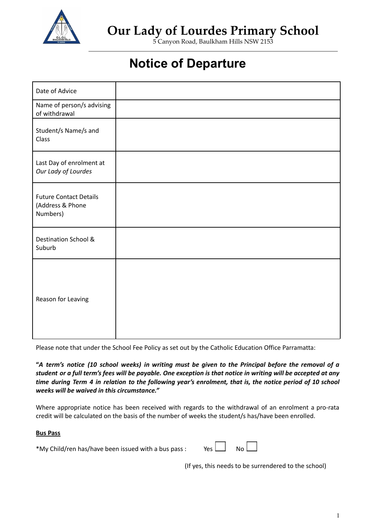

## **Our Lady of Lourdes Primary School**

5 Canyon Road, Baulkham Hills NSW 2153

## **Notice of Departure**

| Date of Advice                                                |  |
|---------------------------------------------------------------|--|
| Name of person/s advising<br>of withdrawal                    |  |
| Student/s Name/s and<br>Class                                 |  |
| Last Day of enrolment at<br>Our Lady of Lourdes               |  |
| <b>Future Contact Details</b><br>(Address & Phone<br>Numbers) |  |
| Destination School &<br>Suburb                                |  |
| Reason for Leaving                                            |  |

Please note that under the School Fee Policy as set out by the Catholic Education Office Parramatta:

"A term's notice (10 school weeks) in writing must be given to the Principal before the removal of a student or a full term's fees will be payable. One exception is that notice in writing will be accepted at any time during Term 4 in relation to the following year's enrolment, that is, the notice period of 10 school *weeks will be waived in this circumstance."*

Where appropriate notice has been received with regards to the withdrawal of an enrolment a pro-rata credit will be calculated on the basis of the number of weeks the student/s has/have been enrolled.

## **Bus Pass**

\*My Child/ren has/have been issued with a bus pass : Yes

(If yes, this needs to be surrendered to the school)